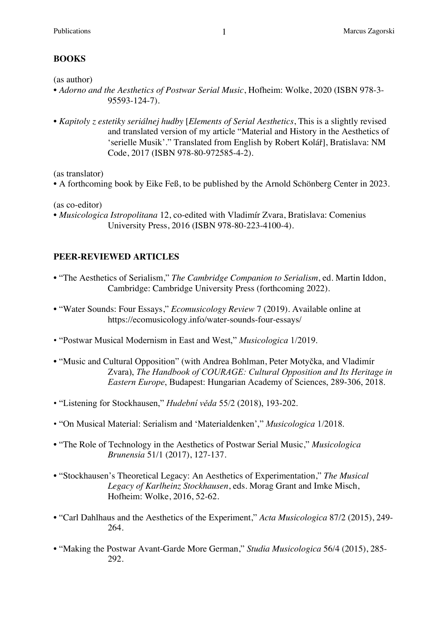# **BOOKS**

(as author)

- *Adorno and the Aesthetics of Postwar Serial Music*, Hofheim: Wolke, 2020 (ISBN 978-3- 95593-124-7).
- *Kapitoly z estetiky seriálnej hudby* [*Elements of Serial Aesthetics*, This is a slightly revised and translated version of my article "Material and History in the Aesthetics of 'serielle Musik'." Translated from English by Robert Kolář], Bratislava: NM Code, 2017 (ISBN 978-80-972585-4-2).

(as translator)

• A forthcoming book by Eike Feß, to be published by the Arnold Schönberg Center in 2023.

(as co-editor)

• *Musicologica Istropolitana* 12, co-edited with Vladimír Zvara, Bratislava: Comenius University Press, 2016 (ISBN 978-80-223-4100-4).

### **PEER-REVIEWED ARTICLES**

- "The Aesthetics of Serialism," *The Cambridge Companion to Serialism*, ed. Martin Iddon, Cambridge: Cambridge University Press (forthcoming 2022).
- "Water Sounds: Four Essays," *Ecomusicology Review* 7 (2019). Available online at https://ecomusicology.info/water-sounds-four-essays/
- "Postwar Musical Modernism in East and West," *Musicologica* 1/2019.
- "Music and Cultural Opposition" (with Andrea Bohlman, Peter Motyčka, and Vladimír Zvara), *The Handbook of COURAGE: Cultural Opposition and Its Heritage in Eastern Europe*, Budapest: Hungarian Academy of Sciences, 289-306, 2018.
- "Listening for Stockhausen," *Hudební věda* 55/2 (2018), 193-202.
- "On Musical Material: Serialism and 'Materialdenken'," *Musicologica* 1/2018.
- "The Role of Technology in the Aesthetics of Postwar Serial Music," *Musicologica Brunensia* 51/1 (2017), 127-137.
- "Stockhausen's Theoretical Legacy: An Aesthetics of Experimentation," *The Musical Legacy of Karlheinz Stockhausen*, eds. Morag Grant and Imke Misch, Hofheim: Wolke, 2016, 52-62.
- "Carl Dahlhaus and the Aesthetics of the Experiment," *Acta Musicologica* 87/2 (2015), 249- 264.
- "Making the Postwar Avant-Garde More German," *Studia Musicologica* 56/4 (2015), 285- 292.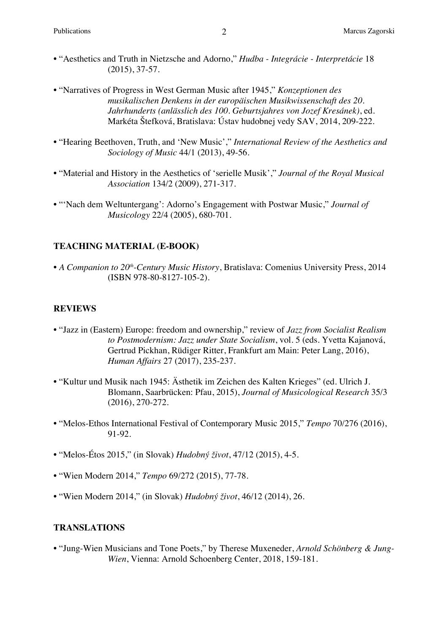- "Aesthetics and Truth in Nietzsche and Adorno," *Hudba - Integrácie - Interpretácie* 18 (2015), 37-57.
- "Narratives of Progress in West German Music after 1945," *Konzeptionen des musikalischen Denkens in der europäischen Musikwissenschaft des 20. Jahrhunderts (anlässlich des 100. Geburtsjahres von Jozef Kresánek)*, ed. Markéta Štefková, Bratislava: Ústav hudobnej vedy SAV, 2014, 209-222.
- "Hearing Beethoven, Truth, and 'New Music'," *International Review of the Aesthetics and Sociology of Music* 44/1 (2013), 49-56.
- "Material and History in the Aesthetics of 'serielle Musik'," *Journal of the Royal Musical Association* 134/2 (2009), 271-317.
- "'Nach dem Weltuntergang': Adorno's Engagement with Postwar Music," *Journal of Musicology* 22/4 (2005), 680-701.

#### **TEACHING MATERIAL (E-BOOK)**

• *A Companion to 20th-Century Music History*, Bratislava: Comenius University Press, 2014 (ISBN 978-80-8127-105-2).

#### **REVIEWS**

- "Jazz in (Eastern) Europe: freedom and ownership," review of *Jazz from Socialist Realism to Postmodernism: Jazz under State Socialism*, vol. 5 (eds. Yvetta Kajanová, Gertrud Pickhan, Rüdiger Ritter, Frankfurt am Main: Peter Lang, 2016), *Human Affairs* 27 (2017), 235-237.
- "Kultur und Musik nach 1945: Ästhetik im Zeichen des Kalten Krieges" (ed. Ulrich J. Blomann, Saarbrücken: Pfau, 2015), *Journal of Musicological Research* 35/3 (2016), 270-272.
- "Melos-Ethos International Festival of Contemporary Music 2015," *Tempo* 70/276 (2016), 91-92.
- "Melos-Étos 2015," (in Slovak) *Hudobný život*, 47/12 (2015), 4-5.
- "Wien Modern 2014," *Tempo* 69/272 (2015), 77-78.
- "Wien Modern 2014," (in Slovak) *Hudobný život*, 46/12 (2014), 26.

#### **TRANSLATIONS**

• "Jung-Wien Musicians and Tone Poets," by Therese Muxeneder, *Arnold Schönberg & Jung-Wien*, Vienna: Arnold Schoenberg Center, 2018, 159-181.